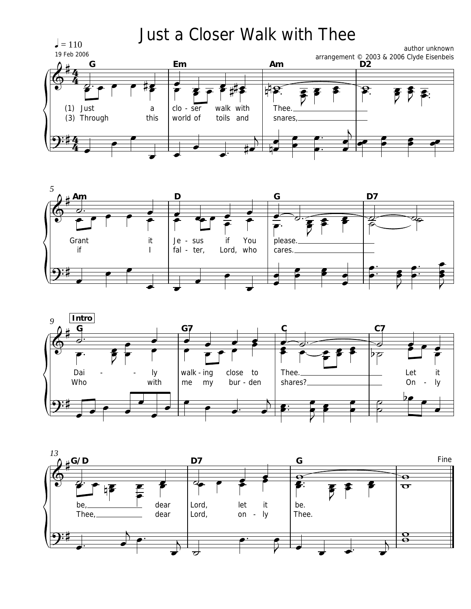